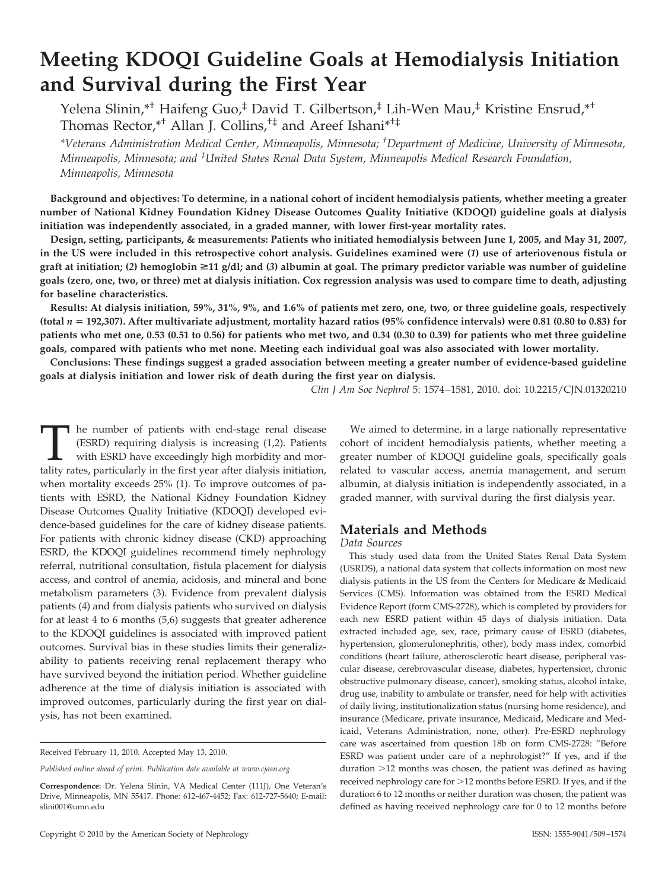# **Meeting KDOQI Guideline Goals at Hemodialysis Initiation and Survival during the First Year**

Yelena Slinin,\*† Haifeng Guo,‡ David T. Gilbertson,‡ Lih-Wen Mau,‡ Kristine Ensrud,\*† Thomas Rector,\*† Allan J. Collins,†‡ and Areef Ishani\*†‡

*\*Veterans Administration Medical Center, Minneapolis, Minnesota; † Department of Medicine, University of Minnesota, Minneapolis, Minnesota; and ‡ United States Renal Data System, Minneapolis Medical Research Foundation, Minneapolis, Minnesota*

**Background and objectives: To determine, in a national cohort of incident hemodialysis patients, whether meeting a greater number of National Kidney Foundation Kidney Disease Outcomes Quality Initiative (KDOQI) guideline goals at dialysis initiation was independently associated, in a graded manner, with lower first-year mortality rates.**

**Design, setting, participants, & measurements: Patients who initiated hemodialysis between June 1, 2005, and May 31, 2007, in the US were included in this retrospective cohort analysis. Guidelines examined were (***1***) use of arteriovenous fistula or graft at initiation; (***2***) hemoglobin** >**11 g/dl; and (***3***) albumin at goal. The primary predictor variable was number of guideline goals (zero, one, two, or three) met at dialysis initiation. Cox regression analysis was used to compare time to death, adjusting for baseline characteristics.**

**Results: At dialysis initiation, 59%, 31%, 9%, and 1.6% of patients met zero, one, two, or three guideline goals, respectively (total** *n* **192,307). After multivariate adjustment, mortality hazard ratios (95% confidence intervals) were 0.81 (0.80 to 0.83) for patients who met one, 0.53 (0.51 to 0.56) for patients who met two, and 0.34 (0.30 to 0.39) for patients who met three guideline goals, compared with patients who met none. Meeting each individual goal was also associated with lower mortality.**

**Conclusions: These findings suggest a graded association between meeting a greater number of evidence-based guideline goals at dialysis initiation and lower risk of death during the first year on dialysis.**

*Clin J Am Soc Nephrol* 5: 1574 –1581, 2010. doi: 10.2215/CJN.01320210

The number of patients with end-stage renal disease (ESRD) requiring dialysis is increasing (1,2). Patients with ESRD have exceedingly high morbidity and mortality rates, particularly in the first year after dialysis initi (ESRD) requiring dialysis is increasing (1,2). Patients with ESRD have exceedingly high morbidity and morwhen mortality exceeds 25% (1). To improve outcomes of patients with ESRD, the National Kidney Foundation Kidney Disease Outcomes Quality Initiative (KDOQI) developed evidence-based guidelines for the care of kidney disease patients. For patients with chronic kidney disease (CKD) approaching ESRD, the KDOQI guidelines recommend timely nephrology referral, nutritional consultation, fistula placement for dialysis access, and control of anemia, acidosis, and mineral and bone metabolism parameters (3). Evidence from prevalent dialysis patients (4) and from dialysis patients who survived on dialysis for at least 4 to 6 months (5,6) suggests that greater adherence to the KDOQI guidelines is associated with improved patient outcomes. Survival bias in these studies limits their generalizability to patients receiving renal replacement therapy who have survived beyond the initiation period. Whether guideline adherence at the time of dialysis initiation is associated with improved outcomes, particularly during the first year on dialysis, has not been examined.

We aimed to determine, in a large nationally representative cohort of incident hemodialysis patients, whether meeting a greater number of KDOQI guideline goals, specifically goals related to vascular access, anemia management, and serum albumin, at dialysis initiation is independently associated, in a graded manner, with survival during the first dialysis year.

# **Materials and Methods**

*Data Sources*

This study used data from the United States Renal Data System (USRDS), a national data system that collects information on most new dialysis patients in the US from the Centers for Medicare & Medicaid Services (CMS). Information was obtained from the ESRD Medical Evidence Report (form CMS-2728), which is completed by providers for each new ESRD patient within 45 days of dialysis initiation. Data extracted included age, sex, race, primary cause of ESRD (diabetes, hypertension, glomerulonephritis, other), body mass index, comorbid conditions (heart failure, atherosclerotic heart disease, peripheral vascular disease, cerebrovascular disease, diabetes, hypertension, chronic obstructive pulmonary disease, cancer), smoking status, alcohol intake, drug use, inability to ambulate or transfer, need for help with activities of daily living, institutionalization status (nursing home residence), and insurance (Medicare, private insurance, Medicaid, Medicare and Medicaid, Veterans Administration, none, other). Pre-ESRD nephrology care was ascertained from question 18b on form CMS-2728: "Before ESRD was patient under care of a nephrologist?" If yes, and if the duration  $>12$  months was chosen, the patient was defined as having received nephrology care for >12 months before ESRD. If yes, and if the duration 6 to 12 months or neither duration was chosen, the patient was defined as having received nephrology care for 0 to 12 months before

Received February 11, 2010. Accepted May 13, 2010.

*Published online ahead of print. Publication date available at www.cjasn.org.*

**Correspondence:** Dr. Yelena Slinin, VA Medical Center (111J), One Veteran's Drive, Minneapolis, MN 55417. Phone: 612-467-4452; Fax: 612-727-5640; E-mail: slini001@umn.edu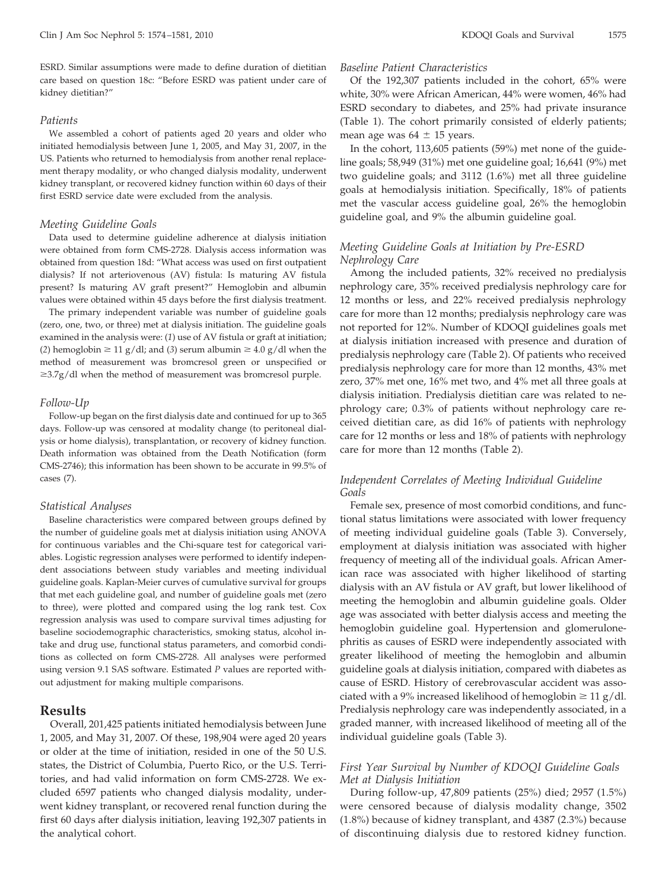ESRD. Similar assumptions were made to define duration of dietitian care based on question 18c: "Before ESRD was patient under care of kidney dietitian?"

#### *Patients*

We assembled a cohort of patients aged 20 years and older who initiated hemodialysis between June 1, 2005, and May 31, 2007, in the US. Patients who returned to hemodialysis from another renal replacement therapy modality, or who changed dialysis modality, underwent kidney transplant, or recovered kidney function within 60 days of their first ESRD service date were excluded from the analysis.

#### *Meeting Guideline Goals*

Data used to determine guideline adherence at dialysis initiation were obtained from form CMS-2728. Dialysis access information was obtained from question 18d: "What access was used on first outpatient dialysis? If not arteriovenous (AV) fistula: Is maturing AV fistula present? Is maturing AV graft present?" Hemoglobin and albumin values were obtained within 45 days before the first dialysis treatment.

The primary independent variable was number of guideline goals (zero, one, two, or three) met at dialysis initiation. The guideline goals examined in the analysis were: (*1*) use of AV fistula or graft at initiation; (2) hemoglobin  $\geq 11$  g/dl; and (3) serum albumin  $\geq 4.0$  g/dl when the method of measurement was bromcresol green or unspecified or  $\geq$ 3.7g/dl when the method of measurement was bromcresol purple.

#### *Follow-Up*

Follow-up began on the first dialysis date and continued for up to 365 days. Follow-up was censored at modality change (to peritoneal dialysis or home dialysis), transplantation, or recovery of kidney function. Death information was obtained from the Death Notification (form CMS-2746); this information has been shown to be accurate in 99.5% of cases (7).

#### *Statistical Analyses*

Baseline characteristics were compared between groups defined by the number of guideline goals met at dialysis initiation using ANOVA for continuous variables and the Chi-square test for categorical variables. Logistic regression analyses were performed to identify independent associations between study variables and meeting individual guideline goals. Kaplan-Meier curves of cumulative survival for groups that met each guideline goal, and number of guideline goals met (zero to three), were plotted and compared using the log rank test. Cox regression analysis was used to compare survival times adjusting for baseline sociodemographic characteristics, smoking status, alcohol intake and drug use, functional status parameters, and comorbid conditions as collected on form CMS-2728. All analyses were performed using version 9.1 SAS software. Estimated *P* values are reported without adjustment for making multiple comparisons.

#### **Results**

Overall, 201,425 patients initiated hemodialysis between June 1, 2005, and May 31, 2007. Of these, 198,904 were aged 20 years or older at the time of initiation, resided in one of the 50 U.S. states, the District of Columbia, Puerto Rico, or the U.S. Territories, and had valid information on form CMS-2728. We excluded 6597 patients who changed dialysis modality, underwent kidney transplant, or recovered renal function during the first 60 days after dialysis initiation, leaving 192,307 patients in the analytical cohort.

#### *Baseline Patient Characteristics*

Of the 192,307 patients included in the cohort, 65% were white, 30% were African American, 44% were women, 46% had ESRD secondary to diabetes, and 25% had private insurance (Table 1). The cohort primarily consisted of elderly patients; mean age was  $64 \pm 15$  years.

In the cohort, 113,605 patients (59%) met none of the guideline goals; 58,949 (31%) met one guideline goal; 16,641 (9%) met two guideline goals; and 3112 (1.6%) met all three guideline goals at hemodialysis initiation. Specifically, 18% of patients met the vascular access guideline goal, 26% the hemoglobin guideline goal, and 9% the albumin guideline goal.

## *Meeting Guideline Goals at Initiation by Pre-ESRD Nephrology Care*

Among the included patients, 32% received no predialysis nephrology care, 35% received predialysis nephrology care for 12 months or less, and 22% received predialysis nephrology care for more than 12 months; predialysis nephrology care was not reported for 12%. Number of KDOQI guidelines goals met at dialysis initiation increased with presence and duration of predialysis nephrology care (Table 2). Of patients who received predialysis nephrology care for more than 12 months, 43% met zero, 37% met one, 16% met two, and 4% met all three goals at dialysis initiation. Predialysis dietitian care was related to nephrology care; 0.3% of patients without nephrology care received dietitian care, as did 16% of patients with nephrology care for 12 months or less and 18% of patients with nephrology care for more than 12 months (Table 2).

## *Independent Correlates of Meeting Individual Guideline Goals*

Female sex, presence of most comorbid conditions, and functional status limitations were associated with lower frequency of meeting individual guideline goals (Table 3). Conversely, employment at dialysis initiation was associated with higher frequency of meeting all of the individual goals. African American race was associated with higher likelihood of starting dialysis with an AV fistula or AV graft, but lower likelihood of meeting the hemoglobin and albumin guideline goals. Older age was associated with better dialysis access and meeting the hemoglobin guideline goal. Hypertension and glomerulonephritis as causes of ESRD were independently associated with greater likelihood of meeting the hemoglobin and albumin guideline goals at dialysis initiation, compared with diabetes as cause of ESRD. History of cerebrovascular accident was associated with a 9% increased likelihood of hemoglobin  $\geq 11$  g/dl. Predialysis nephrology care was independently associated, in a graded manner, with increased likelihood of meeting all of the individual guideline goals (Table 3).

## *First Year Survival by Number of KDOQI Guideline Goals Met at Dialysis Initiation*

During follow-up, 47,809 patients (25%) died; 2957 (1.5%) were censored because of dialysis modality change, 3502 (1.8%) because of kidney transplant, and 4387 (2.3%) because of discontinuing dialysis due to restored kidney function.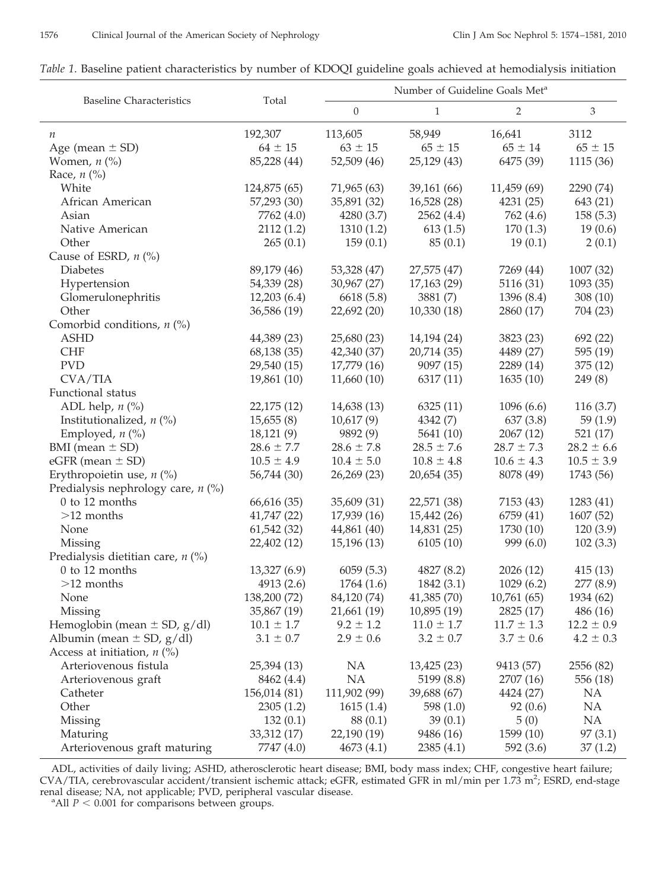# *Table 1*. Baseline patient characteristics by number of KDOQI guideline goals achieved at hemodialysis initiation

| <b>Baseline Characteristics</b>                       | Total                      | Number of Guideline Goals Met <sup>a</sup> |                |                |                      |  |
|-------------------------------------------------------|----------------------------|--------------------------------------------|----------------|----------------|----------------------|--|
|                                                       |                            | $\boldsymbol{0}$                           | $\mathbf{1}$   | 2              | $\mathfrak{Z}$       |  |
| $\boldsymbol{n}$                                      | 192,307                    | 113,605                                    | 58,949         | 16,641         | 3112                 |  |
| Age (mean $\pm$ SD)                                   | $64 \pm 15$                | $63 \pm 15$                                | $65 \pm 15$    | $65 \pm 14$    | $65 \pm 15$          |  |
| Women, $n$ (%)                                        | 85,228 (44)                | 52,509 (46)                                | 25,129(43)     | 6475 (39)      | 1115(36)             |  |
| Race, $n$ (%)                                         |                            |                                            |                |                |                      |  |
| White                                                 | 124,875 (65)               | 71,965 (63)                                | 39,161 (66)    | 11,459 (69)    | 2290 (74)            |  |
| African American                                      | 57,293 (30)                | 35,891 (32)                                | 16,528(28)     | 4231(25)       | 643 (21)             |  |
| Asian                                                 | 7762 (4.0)                 | 4280 (3.7)                                 | 2562(4.4)      | 762 (4.6)      | 158(5.3)             |  |
| Native American                                       | 2112(1.2)                  | 1310(1.2)                                  | 613(1.5)       | 170(1.3)       | 19(0.6)              |  |
| Other                                                 | 265(0.1)                   | 159(0.1)                                   | 85(0.1)        | 19(0.1)        | 2(0.1)               |  |
| Cause of ESRD, $n$ (%)                                |                            |                                            |                |                |                      |  |
| Diabetes                                              | 89,179 (46)                | 53,328 (47)                                | 27,575 (47)    | 7269 (44)      | 1007 (32)            |  |
| Hypertension                                          | 54,339 (28)                | 30,967 (27)                                | 17,163(29)     | 5116 (31)      | 1093(35)             |  |
| Glomerulonephritis                                    | 12,203(6.4)                | 6618 (5.8)                                 | 3881(7)        | 1396 (8.4)     | 308(10)              |  |
| Other                                                 | 36,586 (19)                | 22,692(20)                                 | 10,330(18)     | 2860 (17)      | 704 (23)             |  |
| Comorbid conditions, $n$ (%)                          |                            |                                            |                |                |                      |  |
| <b>ASHD</b>                                           | 44,389 (23)                | 25,680 (23)                                | 14,194 (24)    | 3823 (23)      | 692 (22)             |  |
| <b>CHF</b>                                            | 68,138 (35)                | 42,340 (37)                                | 20,714 (35)    | 4489 (27)      | 595 (19)             |  |
| <b>PVD</b>                                            | 29,540 (15)                | 17,779 (16)                                | 9097(15)       | 2289 (14)      | 375(12)              |  |
| CVA/TIA                                               | 19,861 (10)                | 11,660(10)                                 | 6317(11)       | 1635(10)       | 249(8)               |  |
| Functional status                                     |                            |                                            |                |                |                      |  |
| ADL help, $n$ (%)                                     | 22,175 (12)                | 14,638 (13)                                | 6325(11)       | 1096(6.6)      | 116(3.7)             |  |
| Institutionalized, $n$ (%)                            | 15,655(8)                  | 10,617(9)                                  | 4342(7)        | 637(3.8)       | 59 $(1.9)$           |  |
| Employed, $n$ (%)                                     | 18,121(9)                  | 9892 (9)                                   | 5641 (10)      | 2067(12)       | 521(17)              |  |
| BMI (mean $\pm$ SD)                                   | $28.6 \pm 7.7$             | $28.6 \pm 7.8$                             | $28.5 \pm 7.6$ | $28.7 \pm 7.3$ | $28.2 \pm 6.6$       |  |
| $eGFR$ (mean $\pm$ SD)                                | $10.5 \pm 4.9$             | $10.4 \pm 5.0$                             | $10.8 \pm 4.8$ | $10.6 \pm 4.3$ | $10.5 \pm 3.9$       |  |
| Erythropoietin use, $n$ (%)                           | 56,744 (30)                | 26,269 (23)                                | 20,654 (35)    | 8078 (49)      | 1743 (56)            |  |
| Predialysis nephrology care, $n$ (%)                  |                            |                                            |                |                |                      |  |
| 0 to 12 months                                        | 66,616 (35)                | 35,609 (31)                                | 22,571 (38)    | 7153 (43)      | 1283 (41)            |  |
| $>12$ months                                          | 41,747 (22)                | 17,939 (16)                                | 15,442(26)     | 6759 (41)      | 1607 (52)            |  |
| None                                                  | 61,542(32)                 | 44,861 (40)                                | 14,831 (25)    | 1730 (10)      | 120(3.9)             |  |
| Missing                                               | 22,402 (12)                | 15,196(13)                                 | 6105(10)       | 999(6.0)       | 102(3.3)             |  |
| Predialysis dietitian care, $n$ (%)<br>0 to 12 months |                            |                                            | 4827 (8.2)     | 2026 (12)      |                      |  |
| $>12$ months                                          | 13,327 (6.9)<br>4913 (2.6) | 6059(5.3)<br>1764(1.6)                     | 1842 (3.1)     | 1029(6.2)      | 415(13)<br>277 (8.9) |  |
| None                                                  | 138,200 (72)               | 84,120 (74)                                | 41,385 (70)    | 10,761(65)     | 1934 (62)            |  |
| Missing                                               | 35,867 (19)                | 21,661 (19)                                | 10,895(19)     | 2825 (17)      | 486(16)              |  |
| Hemoglobin (mean $\pm$ SD, g/dl)                      | $10.1 \pm 1.7$             | $9.2 \pm 1.2$                              | $11.0 \pm 1.7$ | $11.7 \pm 1.3$ | $12.2 \pm 0.9$       |  |
| Albumin (mean $\pm$ SD, $g/dl$ )                      | $3.1 \pm 0.7$              | $2.9 \pm 0.6$                              | $3.2 \pm 0.7$  | $3.7 \pm 0.6$  | $4.2 \pm 0.3$        |  |
| Access at initiation, $n$ (%)                         |                            |                                            |                |                |                      |  |
| Arteriovenous fistula                                 | 25,394 (13)                | NA                                         | 13,425(23)     | 9413 (57)      | 2556 (82)            |  |
| Arteriovenous graft                                   | 8462 (4.4)                 | NA                                         | 5199 (8.8)     | 2707 (16)      | 556 (18)             |  |
| Catheter                                              | 156,014 (81)               | 111,902 (99)                               | 39,688 (67)    | 4424 (27)      | NA                   |  |
| Other                                                 | 2305(1.2)                  | 1615(1.4)                                  | 598 $(1.0)$    | 92(0.6)        | NA                   |  |
| <b>Missing</b>                                        | 132(0.1)                   | 88 (0.1)                                   | 39(0.1)        | 5(0)           | NA                   |  |
| Maturing                                              | 33,312 (17)                | 22,190 (19)                                | 9486 (16)      | 1599 (10)      | 97(3.1)              |  |
| Arteriovenous graft maturing                          | 7747 (4.0)                 | 4673(4.1)                                  | 2385(4.1)      | 592 $(3.6)$    | 37(1.2)              |  |

ADL, activities of daily living; ASHD, atherosclerotic heart disease; BMI, body mass index; CHF, congestive heart failure; CVA/TIA, cerebrovascular accident/transient ischemic attack; eGFR, estimated GFR in ml/min per 1.73 m<sup>2</sup>; ESRD, end-stage renal disease; NA, not applicable; PVD, peripheral vascular disease.

 $^{\circ}$ All *P* < 0.001 for comparisons between groups.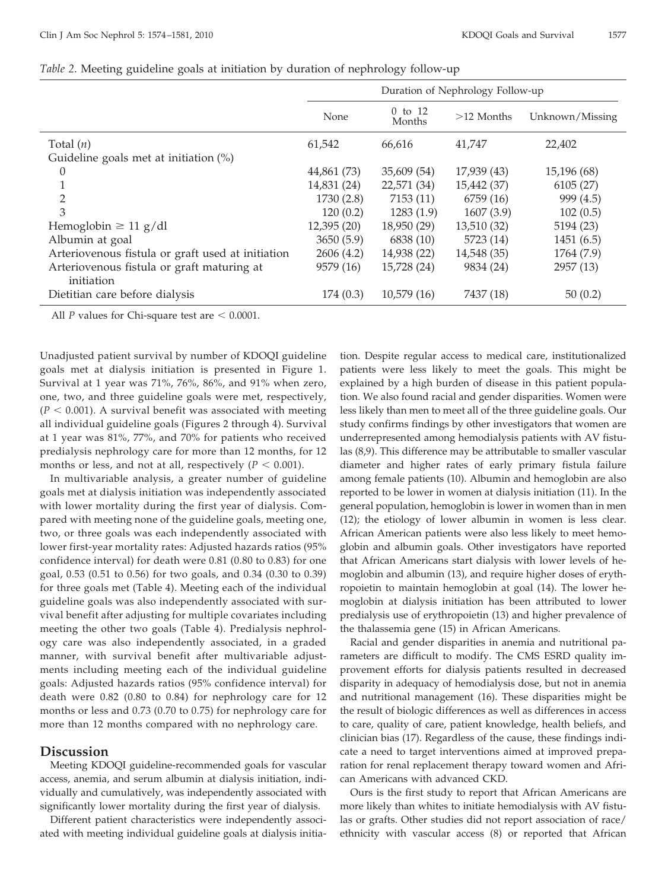|                                                          | Duration of Nephrology Follow-up |                       |              |                 |
|----------------------------------------------------------|----------------------------------|-----------------------|--------------|-----------------|
|                                                          | None                             | $0$ to $12$<br>Months | $>12$ Months | Unknown/Missing |
| Total $(n)$                                              | 61,542                           | 66,616                | 41,747       | 22,402          |
| Guideline goals met at initiation $(\%)$                 |                                  |                       |              |                 |
| $\theta$                                                 | 44,861 (73)                      | 35,609 (54)           | 17,939 (43)  | 15,196 (68)     |
|                                                          | 14,831 (24)                      | 22,571 (34)           | 15,442 (37)  | 6105(27)        |
| 2                                                        | 1730 (2.8)                       | 7153 (11)             | 6759 (16)    | 999 (4.5)       |
| 3                                                        | 120(0.2)                         | 1283(1.9)             | 1607(3.9)    | 102(0.5)        |
| Hemoglobin $\geq 11$ g/dl                                | 12,395(20)                       | 18,950 (29)           | 13,510 (32)  | 5194 (23)       |
| Albumin at goal                                          | 3650(5.9)                        | 6838 (10)             | 5723 (14)    | 1451(6.5)       |
| Arteriovenous fistula or graft used at initiation        | 2606(4.2)                        | 14,938 (22)           | 14,548 (35)  | 1764 (7.9)      |
| Arteriovenous fistula or graft maturing at<br>initiation | 9579 (16)                        | 15,728 (24)           | 9834 (24)    | 2957 (13)       |
| Dietitian care before dialysis                           | 174(0.3)                         | 10,579(16)            | 7437 (18)    | 50(0.2)         |

### *Table 2*. Meeting guideline goals at initiation by duration of nephrology follow-up

All  $P$  values for Chi-square test are  $\leq 0.0001$ .

Unadjusted patient survival by number of KDOQI guideline goals met at dialysis initiation is presented in Figure 1. Survival at 1 year was 71%, 76%, 86%, and 91% when zero, one, two, and three guideline goals were met, respectively,  $(P < 0.001)$ . A survival benefit was associated with meeting all individual guideline goals (Figures 2 through 4). Survival at 1 year was 81%, 77%, and 70% for patients who received predialysis nephrology care for more than 12 months, for 12 months or less, and not at all, respectively  $(P < 0.001)$ .

In multivariable analysis, a greater number of guideline goals met at dialysis initiation was independently associated with lower mortality during the first year of dialysis. Compared with meeting none of the guideline goals, meeting one, two, or three goals was each independently associated with lower first-year mortality rates: Adjusted hazards ratios (95% confidence interval) for death were 0.81 (0.80 to 0.83) for one goal, 0.53 (0.51 to 0.56) for two goals, and 0.34 (0.30 to 0.39) for three goals met (Table 4). Meeting each of the individual guideline goals was also independently associated with survival benefit after adjusting for multiple covariates including meeting the other two goals (Table 4). Predialysis nephrology care was also independently associated, in a graded manner, with survival benefit after multivariable adjustments including meeting each of the individual guideline goals: Adjusted hazards ratios (95% confidence interval) for death were 0.82 (0.80 to 0.84) for nephrology care for 12 months or less and 0.73 (0.70 to 0.75) for nephrology care for more than 12 months compared with no nephrology care.

# **Discussion**

Meeting KDOQI guideline-recommended goals for vascular access, anemia, and serum albumin at dialysis initiation, individually and cumulatively, was independently associated with significantly lower mortality during the first year of dialysis.

Different patient characteristics were independently associated with meeting individual guideline goals at dialysis initiation. Despite regular access to medical care, institutionalized patients were less likely to meet the goals. This might be explained by a high burden of disease in this patient population. We also found racial and gender disparities. Women were less likely than men to meet all of the three guideline goals. Our study confirms findings by other investigators that women are underrepresented among hemodialysis patients with AV fistulas (8,9). This difference may be attributable to smaller vascular diameter and higher rates of early primary fistula failure among female patients (10). Albumin and hemoglobin are also reported to be lower in women at dialysis initiation (11). In the general population, hemoglobin is lower in women than in men (12); the etiology of lower albumin in women is less clear. African American patients were also less likely to meet hemoglobin and albumin goals. Other investigators have reported that African Americans start dialysis with lower levels of hemoglobin and albumin (13), and require higher doses of erythropoietin to maintain hemoglobin at goal (14). The lower hemoglobin at dialysis initiation has been attributed to lower predialysis use of erythropoietin (13) and higher prevalence of the thalassemia gene (15) in African Americans.

Racial and gender disparities in anemia and nutritional parameters are difficult to modify. The CMS ESRD quality improvement efforts for dialysis patients resulted in decreased disparity in adequacy of hemodialysis dose, but not in anemia and nutritional management (16). These disparities might be the result of biologic differences as well as differences in access to care, quality of care, patient knowledge, health beliefs, and clinician bias (17). Regardless of the cause, these findings indicate a need to target interventions aimed at improved preparation for renal replacement therapy toward women and African Americans with advanced CKD.

Ours is the first study to report that African Americans are more likely than whites to initiate hemodialysis with AV fistulas or grafts. Other studies did not report association of race/ ethnicity with vascular access (8) or reported that African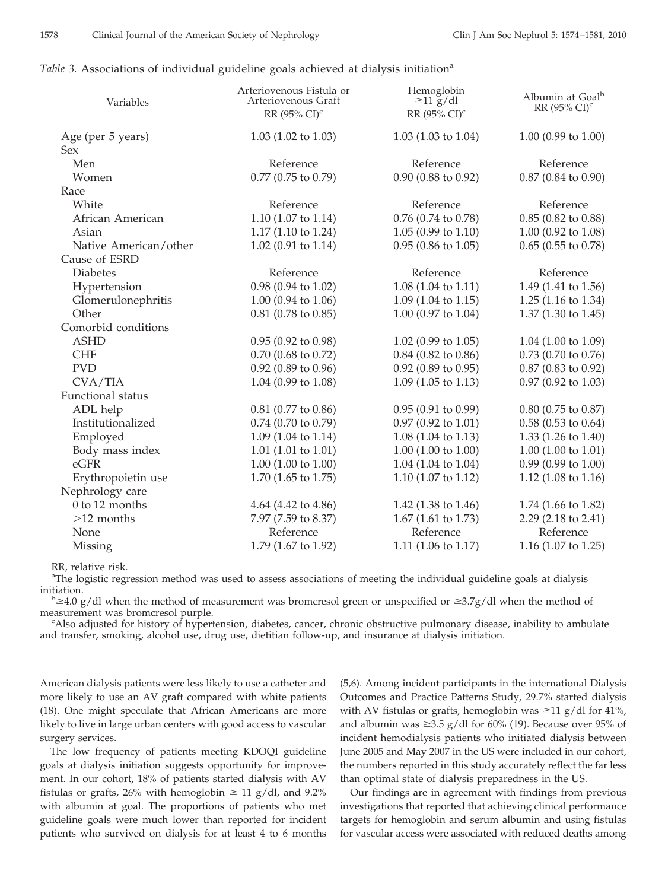| Variables             | Arteriovenous Fistula or<br>Arteriovenous Graft<br>RR (95% CI) <sup>c</sup> | Hemoglobin<br>$\geq$ 11 g/dl<br>RR (95% CI) <sup>c</sup> | Albumin at Goal <sup>b</sup><br>RR (95% CI) <sup>c</sup> |
|-----------------------|-----------------------------------------------------------------------------|----------------------------------------------------------|----------------------------------------------------------|
| Age (per 5 years)     | $1.03$ (1.02 to 1.03)                                                       | $1.03(1.03 \text{ to } 1.04)$                            | $1.00$ (0.99 to 1.00)                                    |
| <b>Sex</b>            |                                                                             |                                                          |                                                          |
| Men                   | Reference                                                                   | Reference                                                | Reference                                                |
| Women                 | $0.77$ (0.75 to 0.79)                                                       | $0.90$ (0.88 to 0.92)                                    | $0.87$ (0.84 to 0.90)                                    |
| Race                  |                                                                             |                                                          |                                                          |
| White                 | Reference                                                                   | Reference                                                | Reference                                                |
| African American      | 1.10 (1.07 to 1.14)                                                         | $0.76$ (0.74 to 0.78)                                    | $0.85$ (0.82 to 0.88)                                    |
| Asian                 | 1.17 (1.10 to 1.24)                                                         | $1.05(0.99 \text{ to } 1.10)$                            | 1.00 (0.92 to 1.08)                                      |
| Native American/other | $1.02$ (0.91 to 1.14)                                                       | $0.95$ (0.86 to 1.05)                                    | $0.65$ (0.55 to 0.78)                                    |
| Cause of ESRD         |                                                                             |                                                          |                                                          |
| <b>Diabetes</b>       | Reference                                                                   | Reference                                                | Reference                                                |
| Hypertension          | 0.98 (0.94 to 1.02)                                                         | $1.08(1.04 \text{ to } 1.11)$                            | 1.49 (1.41 to 1.56)                                      |
| Glomerulonephritis    | $1.00$ (0.94 to 1.06)                                                       | $1.09$ (1.04 to 1.15)                                    | $1.25(1.16 \text{ to } 1.34)$                            |
| Other                 | $0.81$ (0.78 to 0.85)                                                       | 1.00 (0.97 to 1.04)                                      | $1.37(1.30 \text{ to } 1.45)$                            |
| Comorbid conditions   |                                                                             |                                                          |                                                          |
| <b>ASHD</b>           | $0.95(0.92 \text{ to } 0.98)$                                               | $1.02$ (0.99 to 1.05)                                    | 1.04 (1.00 to 1.09)                                      |
| <b>CHF</b>            | $0.70$ (0.68 to 0.72)                                                       | $0.84$ (0.82 to 0.86)                                    | $0.73$ (0.70 to 0.76)                                    |
| <b>PVD</b>            | 0.92 (0.89 to 0.96)                                                         | $0.92$ (0.89 to 0.95)                                    | 0.87 (0.83 to 0.92)                                      |
| CVA/TIA               | 1.04 (0.99 to 1.08)                                                         | $1.09$ (1.05 to 1.13)                                    | $0.97$ (0.92 to 1.03)                                    |
| Functional status     |                                                                             |                                                          |                                                          |
| ADL help              | $0.81$ (0.77 to 0.86)                                                       | 0.95(0.91 to 0.99)                                       | $0.80$ (0.75 to 0.87)                                    |
| Institutionalized     | $0.74$ (0.70 to 0.79)                                                       | $0.97$ (0.92 to 1.01)                                    | $0.58$ (0.53 to 0.64)                                    |
| Employed              | $1.09$ (1.04 to 1.14)                                                       | 1.08 (1.04 to 1.13)                                      | 1.33 (1.26 to 1.40)                                      |
| Body mass index       | $1.01$ (1.01 to 1.01)                                                       | $1.00$ (1.00 to 1.00)                                    | $1.00$ (1.00 to 1.01)                                    |
| eGFR                  | $1.00$ (1.00 to 1.00)                                                       | 1.04 (1.04 to 1.04)                                      | $0.99(0.99 \text{ to } 1.00)$                            |
| Erythropoietin use    | 1.70 (1.65 to 1.75)                                                         | $1.10$ (1.07 to 1.12)                                    | 1.12 (1.08 to 1.16)                                      |
| Nephrology care       |                                                                             |                                                          |                                                          |
| 0 to 12 months        | 4.64 (4.42 to 4.86)                                                         | 1.42 (1.38 to 1.46)                                      | 1.74 (1.66 to 1.82)                                      |
| $>12$ months          | 7.97 (7.59 to 8.37)                                                         | $1.67$ (1.61 to 1.73)                                    | 2.29 (2.18 to 2.41)                                      |
| None                  | Reference                                                                   | Reference                                                | Reference                                                |
| Missing               | 1.79 (1.67 to 1.92)                                                         | 1.11 (1.06 to 1.17)                                      | 1.16 (1.07 to 1.25)                                      |

*Table 3.* Associations of individual guideline goals achieved at dialysis initiation<sup>a</sup>

RR, relative risk.

<sup>a</sup>The logistic regression method was used to assess associations of meeting the individual guideline goals at dialysis initiation.

 $b \ge 4.0$  g/dl when the method of measurement was bromcresol green or unspecified or  $\ge 3.7$ g/dl when the method of measurement was bromcresol purple.

<sup>c</sup>Also adjusted for history of hypertension, diabetes, cancer, chronic obstructive pulmonary disease, inability to ambulate and transfer, smoking, alcohol use, drug use, dietitian follow-up, and insurance at dialysis initiation.

American dialysis patients were less likely to use a catheter and more likely to use an AV graft compared with white patients (18). One might speculate that African Americans are more likely to live in large urban centers with good access to vascular surgery services.

The low frequency of patients meeting KDOQI guideline goals at dialysis initiation suggests opportunity for improvement. In our cohort, 18% of patients started dialysis with AV fistulas or grafts, 26% with hemoglobin  $\geq 11$  g/dl, and 9.2% with albumin at goal. The proportions of patients who met guideline goals were much lower than reported for incident patients who survived on dialysis for at least 4 to 6 months

(5,6). Among incident participants in the international Dialysis Outcomes and Practice Patterns Study, 29.7% started dialysis with AV fistulas or grafts, hemoglobin was  $\geq 11$  g/dl for 41%, and albumin was  $\geq$ 3.5 g/dl for 60% (19). Because over 95% of incident hemodialysis patients who initiated dialysis between June 2005 and May 2007 in the US were included in our cohort, the numbers reported in this study accurately reflect the far less than optimal state of dialysis preparedness in the US.

Our findings are in agreement with findings from previous investigations that reported that achieving clinical performance targets for hemoglobin and serum albumin and using fistulas for vascular access were associated with reduced deaths among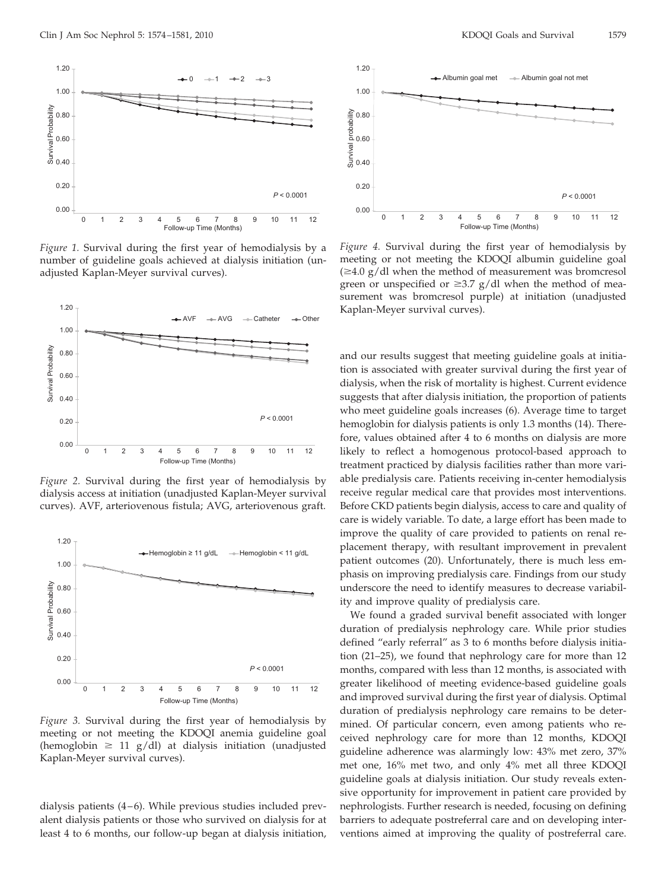

*Figure 1.* Survival during the first year of hemodialysis by a number of guideline goals achieved at dialysis initiation (unadjusted Kaplan-Meyer survival curves).



*Figure 2.* Survival during the first year of hemodialysis by dialysis access at initiation (unadjusted Kaplan-Meyer survival curves). AVF, arteriovenous fistula; AVG, arteriovenous graft.



*Figure 3.* Survival during the first year of hemodialysis by meeting or not meeting the KDOQI anemia guideline goal (hemoglobin  $\geq 11$  g/dl) at dialysis initiation (unadjusted Kaplan-Meyer survival curves).

dialysis patients  $(4-6)$ . While previous studies included prevalent dialysis patients or those who survived on dialysis for at least 4 to 6 months, our follow-up began at dialysis initiation,



*Figure 4.* Survival during the first year of hemodialysis by meeting or not meeting the KDOQI albumin guideline goal  $(\geq 4.0 \text{ g}/\text{d}$  when the method of measurement was bromcresol green or unspecified or  $\geq$ 3.7 g/dl when the method of measurement was bromcresol purple) at initiation (unadjusted Kaplan-Meyer survival curves).

and our results suggest that meeting guideline goals at initiation is associated with greater survival during the first year of dialysis, when the risk of mortality is highest. Current evidence suggests that after dialysis initiation, the proportion of patients who meet guideline goals increases (6). Average time to target hemoglobin for dialysis patients is only 1.3 months (14). Therefore, values obtained after 4 to 6 months on dialysis are more likely to reflect a homogenous protocol-based approach to treatment practiced by dialysis facilities rather than more variable predialysis care. Patients receiving in-center hemodialysis receive regular medical care that provides most interventions. Before CKD patients begin dialysis, access to care and quality of care is widely variable. To date, a large effort has been made to improve the quality of care provided to patients on renal replacement therapy, with resultant improvement in prevalent patient outcomes (20). Unfortunately, there is much less emphasis on improving predialysis care. Findings from our study underscore the need to identify measures to decrease variability and improve quality of predialysis care.

We found a graded survival benefit associated with longer duration of predialysis nephrology care. While prior studies defined "early referral" as 3 to 6 months before dialysis initiation (21–25), we found that nephrology care for more than 12 months, compared with less than 12 months, is associated with greater likelihood of meeting evidence-based guideline goals and improved survival during the first year of dialysis. Optimal duration of predialysis nephrology care remains to be determined. Of particular concern, even among patients who received nephrology care for more than 12 months, KDOQI guideline adherence was alarmingly low: 43% met zero, 37% met one, 16% met two, and only 4% met all three KDOQI guideline goals at dialysis initiation. Our study reveals extensive opportunity for improvement in patient care provided by nephrologists. Further research is needed, focusing on defining barriers to adequate postreferral care and on developing interventions aimed at improving the quality of postreferral care.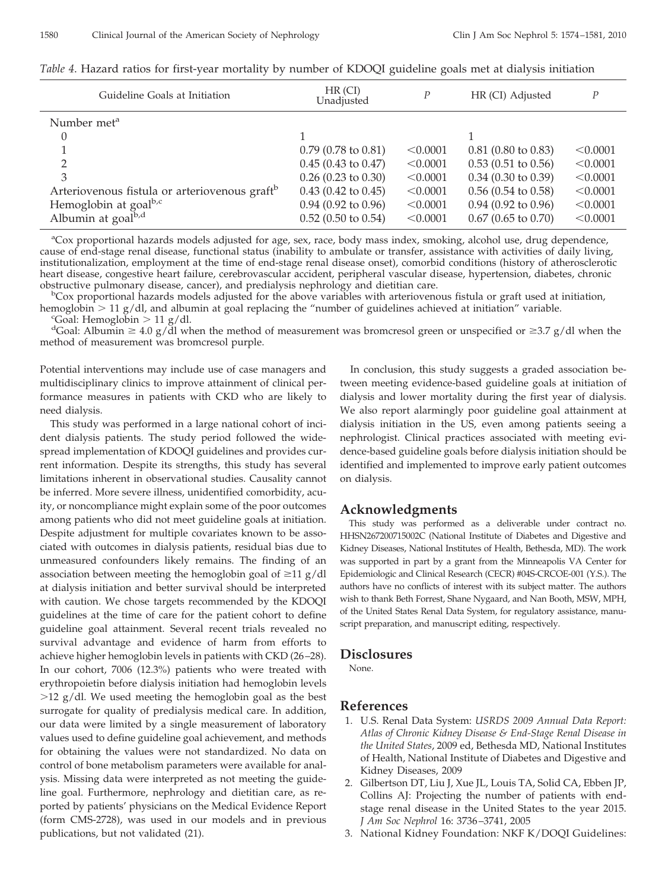| Guideline Goals at Initiation                             | HR (CI)<br>P<br>Unadjusted |          | HR (CI) Adjusted              |          |
|-----------------------------------------------------------|----------------------------|----------|-------------------------------|----------|
| Number met <sup>a</sup>                                   |                            |          |                               |          |
| 0                                                         |                            |          |                               |          |
|                                                           | $0.79$ (0.78 to 0.81)      | < 0.0001 | $0.81$ (0.80 to 0.83)         | < 0.0001 |
| ∍                                                         | $0.45$ (0.43 to 0.47)      | < 0.0001 | $0.53(0.51 \text{ to } 0.56)$ | < 0.0001 |
| 3                                                         | $0.26$ (0.23 to 0.30)      | < 0.0001 | $0.34$ (0.30 to 0.39)         | < 0.0001 |
| Arteriovenous fistula or arteriovenous graft <sup>b</sup> | $0.43$ (0.42 to 0.45)      | < 0.0001 | $0.56$ (0.54 to 0.58)         | < 0.0001 |
| Hemoglobin at goal <sup>b,c</sup>                         | $0.94$ (0.92 to 0.96)      | < 0.0001 | $0.94$ (0.92 to 0.96)         | < 0.0001 |
| Albumin at goal <sup>b,d</sup>                            | $0.52$ (0.50 to 0.54)      | < 0.0001 | $0.67$ (0.65 to 0.70)         | < 0.0001 |

|  | Table 4. Hazard ratios for first-year mortality by number of KDOQI guideline goals met at dialysis initiation |  |
|--|---------------------------------------------------------------------------------------------------------------|--|
|  |                                                                                                               |  |

<sup>a</sup>Cox proportional hazards models adjusted for age, sex, race, body mass index, smoking, alcohol use, drug dependence, cause of end-stage renal disease, functional status (inability to ambulate or transfer, assistance with activities of daily living, institutionalization, employment at the time of end-stage renal disease onset), comorbid conditions (history of atherosclerotic heart disease, congestive heart failure, cerebrovascular accident, peripheral vascular disease, hypertension, diabetes, chronic obstructive pulmonary disease, cancer), and predialysis nephrology and dietitian care. <sup>b</sup>

<sup>b</sup>Cox proportional hazards models adjusted for the above variables with arteriovenous fistula or graft used at initiation, hemoglobin  $> 11$  g/dl, and albumin at goal replacing the "number of guidelines achieved at initiation" variable.

"Goal: Hemoglobin  $> 11$  g/dl.

<sup>d</sup>Goal: Albumin  $\geq 4.0$  g/dl when the method of measurement was bromcresol green or unspecified or  $\geq 3.7$  g/dl when the method of measurement was bromcresol purple.

Potential interventions may include use of case managers and multidisciplinary clinics to improve attainment of clinical performance measures in patients with CKD who are likely to need dialysis.

This study was performed in a large national cohort of incident dialysis patients. The study period followed the widespread implementation of KDOQI guidelines and provides current information. Despite its strengths, this study has several limitations inherent in observational studies. Causality cannot be inferred. More severe illness, unidentified comorbidity, acuity, or noncompliance might explain some of the poor outcomes among patients who did not meet guideline goals at initiation. Despite adjustment for multiple covariates known to be associated with outcomes in dialysis patients, residual bias due to unmeasured confounders likely remains. The finding of an association between meeting the hemoglobin goal of  $\geq$ 11 g/dl at dialysis initiation and better survival should be interpreted with caution. We chose targets recommended by the KDOQI guidelines at the time of care for the patient cohort to define guideline goal attainment. Several recent trials revealed no survival advantage and evidence of harm from efforts to achieve higher hemoglobin levels in patients with CKD (26 –28). In our cohort, 7006 (12.3%) patients who were treated with erythropoietin before dialysis initiation had hemoglobin levels  $>12$  g/dl. We used meeting the hemoglobin goal as the best surrogate for quality of predialysis medical care. In addition, our data were limited by a single measurement of laboratory values used to define guideline goal achievement, and methods for obtaining the values were not standardized. No data on control of bone metabolism parameters were available for analysis. Missing data were interpreted as not meeting the guideline goal. Furthermore, nephrology and dietitian care, as reported by patients' physicians on the Medical Evidence Report (form CMS-2728), was used in our models and in previous publications, but not validated (21).

In conclusion, this study suggests a graded association between meeting evidence-based guideline goals at initiation of dialysis and lower mortality during the first year of dialysis. We also report alarmingly poor guideline goal attainment at dialysis initiation in the US, even among patients seeing a nephrologist. Clinical practices associated with meeting evidence-based guideline goals before dialysis initiation should be identified and implemented to improve early patient outcomes on dialysis.

## **Acknowledgments**

This study was performed as a deliverable under contract no. HHSN267200715002C (National Institute of Diabetes and Digestive and Kidney Diseases, National Institutes of Health, Bethesda, MD). The work was supported in part by a grant from the Minneapolis VA Center for Epidemiologic and Clinical Research (CECR) #04S-CRCOE-001 (Y.S.). The authors have no conflicts of interest with its subject matter. The authors wish to thank Beth Forrest, Shane Nygaard, and Nan Booth, MSW, MPH, of the United States Renal Data System, for regulatory assistance, manuscript preparation, and manuscript editing, respectively.

## **Disclosures**

None.

## **References**

- 1. U.S. Renal Data System: *USRDS 2009 Annual Data Report: Atlas of Chronic Kidney Disease & End-Stage Renal Disease in the United States*, 2009 ed, Bethesda MD, National Institutes of Health, National Institute of Diabetes and Digestive and Kidney Diseases, 2009
- 2. Gilbertson DT, Liu J, Xue JL, Louis TA, Solid CA, Ebben JP, Collins AJ: Projecting the number of patients with endstage renal disease in the United States to the year 2015. *J Am Soc Nephrol* 16: 3736 –3741, 2005
- 3. National Kidney Foundation: NKF K/DOQI Guidelines: